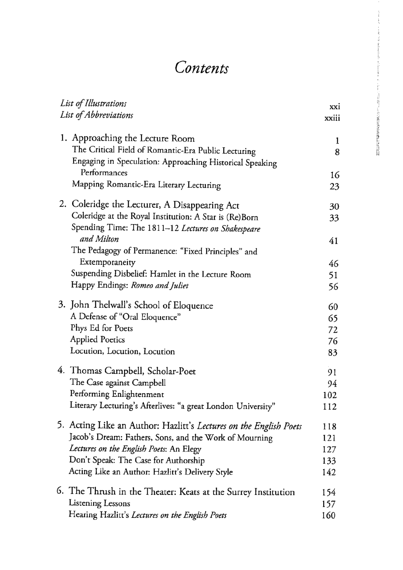## **Contents**

| List of Illustrations<br>List of Abbreviations |                                                                                                                                                    | xxi<br>xxiii     |
|------------------------------------------------|----------------------------------------------------------------------------------------------------------------------------------------------------|------------------|
|                                                | 1. Approaching the Lecture Room<br>The Critical Field of Romantic-Era Public Lecturing<br>Engaging in Speculation: Approaching Historical Speaking | $\mathbf 1$<br>8 |
|                                                | Performances                                                                                                                                       | 16               |
|                                                | Mapping Romantic-Era Literary Lecturing                                                                                                            | 23               |
|                                                | 2. Coleridge the Lecturer, A Disappearing Act                                                                                                      | 30               |
|                                                | Coleridge at the Royal Institution: A Star is (Re)Born                                                                                             | 33               |
|                                                | Spending Time: The 1811-12 Lectures on Shakespeare                                                                                                 |                  |
|                                                | and Milton<br>The Pedagogy of Permanence: "Fixed Principles" and                                                                                   | 41               |
|                                                | Extemporaneity                                                                                                                                     | 46               |
|                                                | Suspending Disbelief: Hamlet in the Lecture Room                                                                                                   | 51               |
|                                                | Happy Endings: Romeo and Juliet                                                                                                                    | 56               |
|                                                | 3. John Thelwall's School of Eloquence                                                                                                             | 60               |
|                                                | A Defense of "Oral Eloquence"                                                                                                                      | 65               |
|                                                | Phys Ed for Poets                                                                                                                                  | 72               |
|                                                | <b>Applied Poetics</b>                                                                                                                             | 76               |
|                                                | Locution, Locution, Locution                                                                                                                       | 83               |
|                                                | 4. Thomas Campbell, Scholar-Poet                                                                                                                   | 91               |
|                                                | The Case against Campbell                                                                                                                          | 94               |
|                                                | Performing Enlightenment                                                                                                                           | 102              |
|                                                | Literary Lecturing's Afterlives: "a great London University"                                                                                       | 112              |
|                                                | 5. Acting Like an Author: Hazlitt's Lectures on the English Poets                                                                                  | 118              |
|                                                | Jacob's Dream: Fathers, Sons, and the Work of Mourning                                                                                             | 121              |
|                                                | Lectures on the English Poets: An Elegy                                                                                                            | 127              |
|                                                | Don't Speak: The Case for Authorship                                                                                                               | 133              |
|                                                | Acting Like an Author: Hazlitt's Delivery Style                                                                                                    | 142              |
|                                                | 6. The Thrush in the Theater: Keats at the Surrey Institution                                                                                      | 154              |
|                                                | Listening Lessons                                                                                                                                  | 157              |
|                                                | Hearing Hazlitt's Lectures on the English Poets                                                                                                    | 160              |